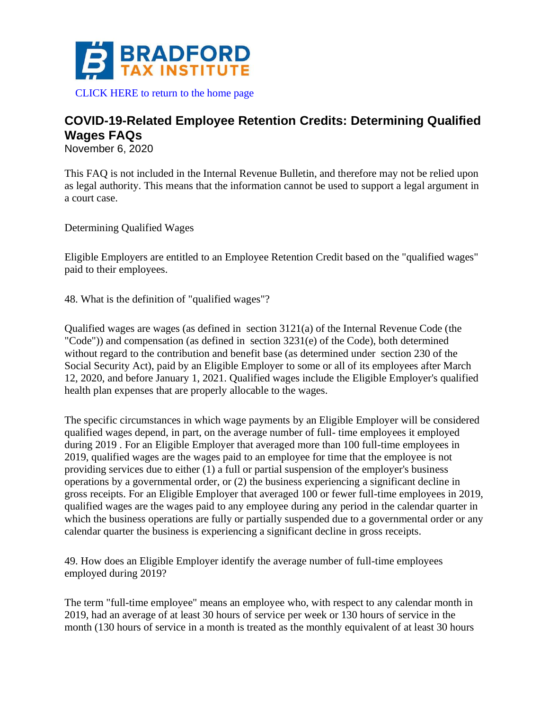

[CLICK HERE to return to the home page](https://www.bradfordtaxinstitute.com)

## **COVID-19-Related Employee Retention Credits: Determining Qualified Wages FAQs**

November 6, 2020

This FAQ is not included in the Internal Revenue Bulletin, and therefore may not be relied upon as legal authority. This means that the information cannot be used to support a legal argument in a court case.

Determining Qualified Wages

Eligible Employers are entitled to an Employee Retention Credit based on the "qualified wages" paid to their employees.

48. What is the definition of "qualified wages"?

Qualified wages are wages (as defined in section 3121(a) of the Internal Revenue Code (the "Code")) and compensation (as defined in section  $3231(e)$  of the Code), both determined without regard to the contribution and benefit base (as determined under section 230 of the Social Security Act), paid by an Eligible Employer to some or all of its employees after March 12, 2020, and before January 1, 2021. Qualified wages include the Eligible Employer's qualified health plan expenses that are properly allocable to the wages.

The specific circumstances in which wage payments by an Eligible Employer will be considered qualified wages depend, in part, on the average number of full- time employees it employed during 2019 . For an Eligible Employer that averaged more than 100 full-time employees in 2019, qualified wages are the wages paid to an employee for time that the employee is not providing services due to either (1) a full or partial suspension of the employer's business operations by a governmental order, or (2) the business experiencing a significant decline in gross receipts. For an Eligible Employer that averaged 100 or fewer full-time employees in 2019, qualified wages are the wages paid to any employee during any period in the calendar quarter in which the business operations are fully or partially suspended due to a governmental order or any calendar quarter the business is experiencing a significant decline in gross receipts.

49. How does an Eligible Employer identify the average number of full-time employees employed during 2019?

The term "full-time employee" means an employee who, with respect to any calendar month in 2019, had an average of at least 30 hours of service per week or 130 hours of service in the month (130 hours of service in a month is treated as the monthly equivalent of at least 30 hours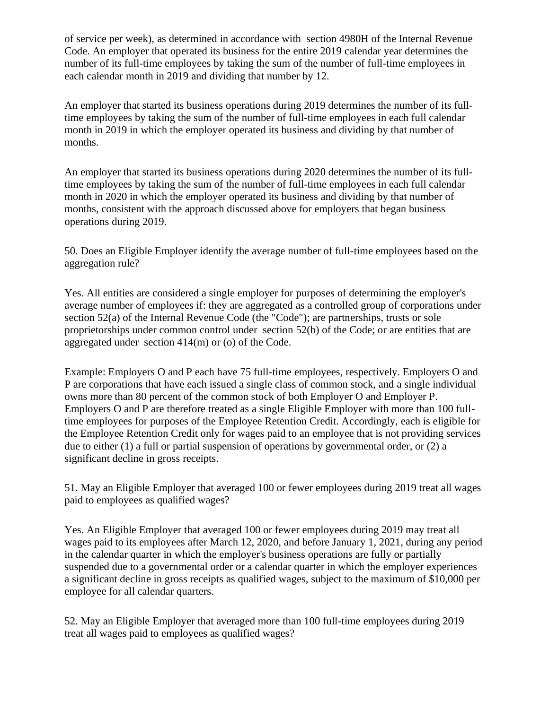of service per week), as determined in accordance with section 4980H of the Internal Revenue Code. An employer that operated its business for the entire 2019 calendar year determines the number of its full-time employees by taking the sum of the number of full-time employees in each calendar month in 2019 and dividing that number by 12.

An employer that started its business operations during 2019 determines the number of its fulltime employees by taking the sum of the number of full-time employees in each full calendar month in 2019 in which the employer operated its business and dividing by that number of months.

An employer that started its business operations during 2020 determines the number of its fulltime employees by taking the sum of the number of full-time employees in each full calendar month in 2020 in which the employer operated its business and dividing by that number of months, consistent with the approach discussed above for employers that began business operations during 2019.

50. Does an Eligible Employer identify the average number of full-time employees based on the aggregation rule?

Yes. All entities are considered a single employer for purposes of determining the employer's average number of employees if: they are aggregated as a controlled group of corporations under section 52(a) of the Internal Revenue Code (the "Code"); are partnerships, trusts or sole proprietorships under common control under section 52(b) of the Code; or are entities that are aggregated under section 414(m) or (o) of the Code.

Example: Employers O and P each have 75 full-time employees, respectively. Employers O and P are corporations that have each issued a single class of common stock, and a single individual owns more than 80 percent of the common stock of both Employer O and Employer P. Employers O and P are therefore treated as a single Eligible Employer with more than 100 fulltime employees for purposes of the Employee Retention Credit. Accordingly, each is eligible for the Employee Retention Credit only for wages paid to an employee that is not providing services due to either (1) a full or partial suspension of operations by governmental order, or (2) a significant decline in gross receipts.

51. May an Eligible Employer that averaged 100 or fewer employees during 2019 treat all wages paid to employees as qualified wages?

Yes. An Eligible Employer that averaged 100 or fewer employees during 2019 may treat all wages paid to its employees after March 12, 2020, and before January 1, 2021, during any period in the calendar quarter in which the employer's business operations are fully or partially suspended due to a governmental order or a calendar quarter in which the employer experiences a significant decline in gross receipts as qualified wages, subject to the maximum of \$10,000 per employee for all calendar quarters.

52. May an Eligible Employer that averaged more than 100 full-time employees during 2019 treat all wages paid to employees as qualified wages?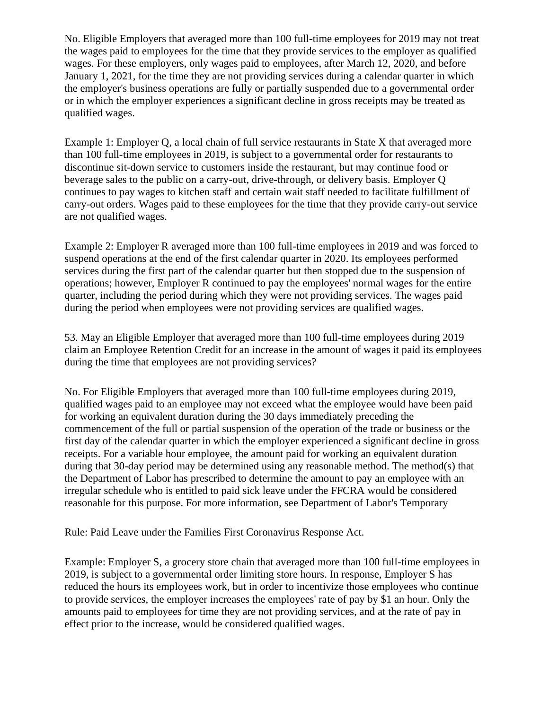No. Eligible Employers that averaged more than 100 full-time employees for 2019 may not treat the wages paid to employees for the time that they provide services to the employer as qualified wages. For these employers, only wages paid to employees, after March 12, 2020, and before January 1, 2021, for the time they are not providing services during a calendar quarter in which the employer's business operations are fully or partially suspended due to a governmental order or in which the employer experiences a significant decline in gross receipts may be treated as qualified wages.

Example 1: Employer Q, a local chain of full service restaurants in State X that averaged more than 100 full-time employees in 2019, is subject to a governmental order for restaurants to discontinue sit-down service to customers inside the restaurant, but may continue food or beverage sales to the public on a carry-out, drive-through, or delivery basis. Employer Q continues to pay wages to kitchen staff and certain wait staff needed to facilitate fulfillment of carry-out orders. Wages paid to these employees for the time that they provide carry-out service are not qualified wages.

Example 2: Employer R averaged more than 100 full-time employees in 2019 and was forced to suspend operations at the end of the first calendar quarter in 2020. Its employees performed services during the first part of the calendar quarter but then stopped due to the suspension of operations; however, Employer R continued to pay the employees' normal wages for the entire quarter, including the period during which they were not providing services. The wages paid during the period when employees were not providing services are qualified wages.

53. May an Eligible Employer that averaged more than 100 full-time employees during 2019 claim an Employee Retention Credit for an increase in the amount of wages it paid its employees during the time that employees are not providing services?

No. For Eligible Employers that averaged more than 100 full-time employees during 2019, qualified wages paid to an employee may not exceed what the employee would have been paid for working an equivalent duration during the 30 days immediately preceding the commencement of the full or partial suspension of the operation of the trade or business or the first day of the calendar quarter in which the employer experienced a significant decline in gross receipts. For a variable hour employee, the amount paid for working an equivalent duration during that 30-day period may be determined using any reasonable method. The method(s) that the Department of Labor has prescribed to determine the amount to pay an employee with an irregular schedule who is entitled to paid sick leave under the FFCRA would be considered reasonable for this purpose. For more information, see Department of Labor's Temporary

Rule: Paid Leave under the Families First Coronavirus Response Act.

Example: Employer S, a grocery store chain that averaged more than 100 full-time employees in 2019, is subject to a governmental order limiting store hours. In response, Employer S has reduced the hours its employees work, but in order to incentivize those employees who continue to provide services, the employer increases the employees' rate of pay by \$1 an hour. Only the amounts paid to employees for time they are not providing services, and at the rate of pay in effect prior to the increase, would be considered qualified wages.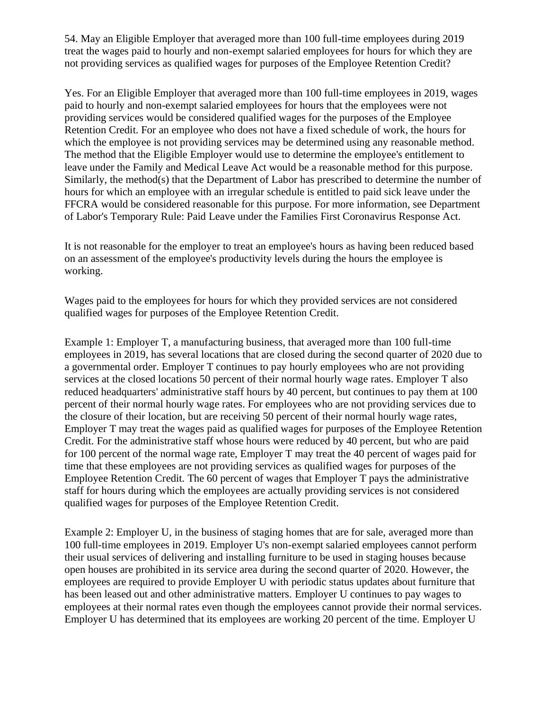54. May an Eligible Employer that averaged more than 100 full-time employees during 2019 treat the wages paid to hourly and non-exempt salaried employees for hours for which they are not providing services as qualified wages for purposes of the Employee Retention Credit?

Yes. For an Eligible Employer that averaged more than 100 full-time employees in 2019, wages paid to hourly and non-exempt salaried employees for hours that the employees were not providing services would be considered qualified wages for the purposes of the Employee Retention Credit. For an employee who does not have a fixed schedule of work, the hours for which the employee is not providing services may be determined using any reasonable method. The method that the Eligible Employer would use to determine the employee's entitlement to leave under the Family and Medical Leave Act would be a reasonable method for this purpose. Similarly, the method(s) that the Department of Labor has prescribed to determine the number of hours for which an employee with an irregular schedule is entitled to paid sick leave under the FFCRA would be considered reasonable for this purpose. For more information, see Department of Labor's Temporary Rule: Paid Leave under the Families First Coronavirus Response Act.

It is not reasonable for the employer to treat an employee's hours as having been reduced based on an assessment of the employee's productivity levels during the hours the employee is working.

Wages paid to the employees for hours for which they provided services are not considered qualified wages for purposes of the Employee Retention Credit.

Example 1: Employer T, a manufacturing business, that averaged more than 100 full-time employees in 2019, has several locations that are closed during the second quarter of 2020 due to a governmental order. Employer T continues to pay hourly employees who are not providing services at the closed locations 50 percent of their normal hourly wage rates. Employer T also reduced headquarters' administrative staff hours by 40 percent, but continues to pay them at 100 percent of their normal hourly wage rates. For employees who are not providing services due to the closure of their location, but are receiving 50 percent of their normal hourly wage rates, Employer T may treat the wages paid as qualified wages for purposes of the Employee Retention Credit. For the administrative staff whose hours were reduced by 40 percent, but who are paid for 100 percent of the normal wage rate, Employer T may treat the 40 percent of wages paid for time that these employees are not providing services as qualified wages for purposes of the Employee Retention Credit. The 60 percent of wages that Employer T pays the administrative staff for hours during which the employees are actually providing services is not considered qualified wages for purposes of the Employee Retention Credit.

Example 2: Employer U, in the business of staging homes that are for sale, averaged more than 100 full-time employees in 2019. Employer U's non-exempt salaried employees cannot perform their usual services of delivering and installing furniture to be used in staging houses because open houses are prohibited in its service area during the second quarter of 2020. However, the employees are required to provide Employer U with periodic status updates about furniture that has been leased out and other administrative matters. Employer U continues to pay wages to employees at their normal rates even though the employees cannot provide their normal services. Employer U has determined that its employees are working 20 percent of the time. Employer U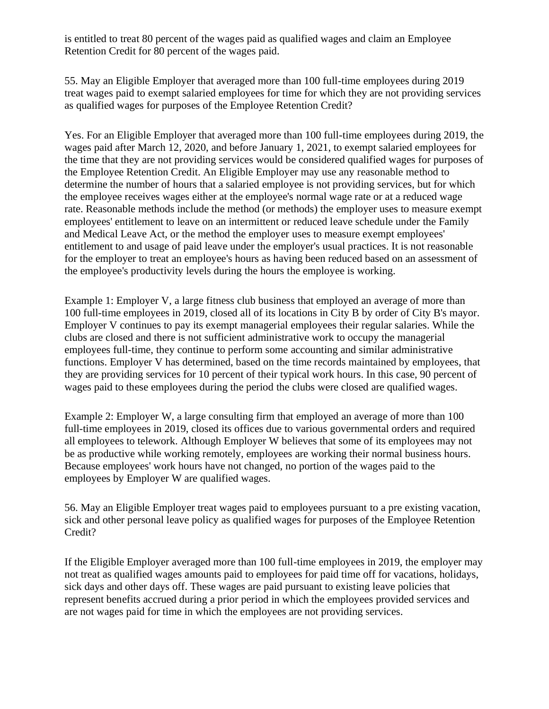is entitled to treat 80 percent of the wages paid as qualified wages and claim an Employee Retention Credit for 80 percent of the wages paid.

55. May an Eligible Employer that averaged more than 100 full-time employees during 2019 treat wages paid to exempt salaried employees for time for which they are not providing services as qualified wages for purposes of the Employee Retention Credit?

Yes. For an Eligible Employer that averaged more than 100 full-time employees during 2019, the wages paid after March 12, 2020, and before January 1, 2021, to exempt salaried employees for the time that they are not providing services would be considered qualified wages for purposes of the Employee Retention Credit. An Eligible Employer may use any reasonable method to determine the number of hours that a salaried employee is not providing services, but for which the employee receives wages either at the employee's normal wage rate or at a reduced wage rate. Reasonable methods include the method (or methods) the employer uses to measure exempt employees' entitlement to leave on an intermittent or reduced leave schedule under the Family and Medical Leave Act, or the method the employer uses to measure exempt employees' entitlement to and usage of paid leave under the employer's usual practices. It is not reasonable for the employer to treat an employee's hours as having been reduced based on an assessment of the employee's productivity levels during the hours the employee is working.

Example 1: Employer V, a large fitness club business that employed an average of more than 100 full-time employees in 2019, closed all of its locations in City B by order of City B's mayor. Employer V continues to pay its exempt managerial employees their regular salaries. While the clubs are closed and there is not sufficient administrative work to occupy the managerial employees full-time, they continue to perform some accounting and similar administrative functions. Employer V has determined, based on the time records maintained by employees, that they are providing services for 10 percent of their typical work hours. In this case, 90 percent of wages paid to these employees during the period the clubs were closed are qualified wages.

Example 2: Employer W, a large consulting firm that employed an average of more than 100 full-time employees in 2019, closed its offices due to various governmental orders and required all employees to telework. Although Employer W believes that some of its employees may not be as productive while working remotely, employees are working their normal business hours. Because employees' work hours have not changed, no portion of the wages paid to the employees by Employer W are qualified wages.

56. May an Eligible Employer treat wages paid to employees pursuant to a pre existing vacation, sick and other personal leave policy as qualified wages for purposes of the Employee Retention Credit?

If the Eligible Employer averaged more than 100 full-time employees in 2019, the employer may not treat as qualified wages amounts paid to employees for paid time off for vacations, holidays, sick days and other days off. These wages are paid pursuant to existing leave policies that represent benefits accrued during a prior period in which the employees provided services and are not wages paid for time in which the employees are not providing services.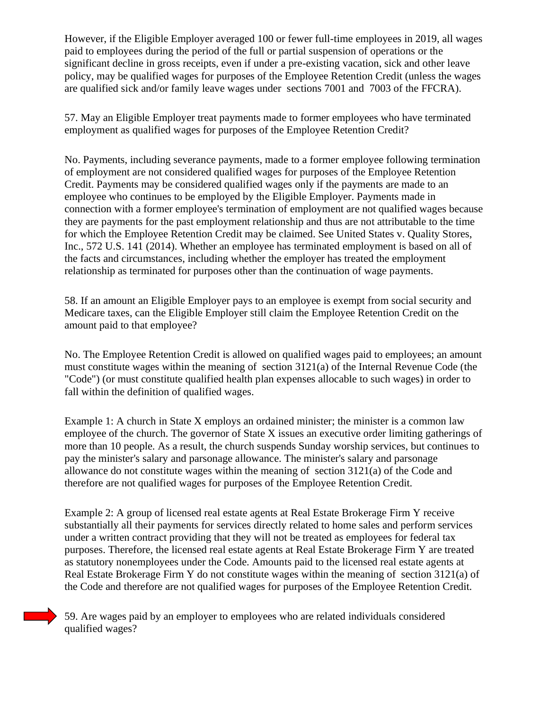However, if the Eligible Employer averaged 100 or fewer full-time employees in 2019, all wages paid to employees during the period of the full or partial suspension of operations or the significant decline in gross receipts, even if under a pre-existing vacation, sick and other leave policy, may be qualified wages for purposes of the Employee Retention Credit (unless the wages are qualified sick and/or family leave wages under sections 7001 and 7003 of the FFCRA).

57. May an Eligible Employer treat payments made to former employees who have terminated employment as qualified wages for purposes of the Employee Retention Credit?

No. Payments, including severance payments, made to a former employee following termination of employment are not considered qualified wages for purposes of the Employee Retention Credit. Payments may be considered qualified wages only if the payments are made to an employee who continues to be employed by the Eligible Employer. Payments made in connection with a former employee's termination of employment are not qualified wages because they are payments for the past employment relationship and thus are not attributable to the time for which the Employee Retention Credit may be claimed. See United States v. Quality Stores, Inc., 572 U.S. 141 (2014). Whether an employee has terminated employment is based on all of the facts and circumstances, including whether the employer has treated the employment relationship as terminated for purposes other than the continuation of wage payments.

58. If an amount an Eligible Employer pays to an employee is exempt from social security and Medicare taxes, can the Eligible Employer still claim the Employee Retention Credit on the amount paid to that employee?

No. The Employee Retention Credit is allowed on qualified wages paid to employees; an amount must constitute wages within the meaning of section 3121(a) of the Internal Revenue Code (the "Code") (or must constitute qualified health plan expenses allocable to such wages) in order to fall within the definition of qualified wages.

Example 1: A church in State X employs an ordained minister; the minister is a common law employee of the church. The governor of State X issues an executive order limiting gatherings of more than 10 people. As a result, the church suspends Sunday worship services, but continues to pay the minister's salary and parsonage allowance. The minister's salary and parsonage allowance do not constitute wages within the meaning of section 3121(a) of the Code and therefore are not qualified wages for purposes of the Employee Retention Credit.

Example 2: A group of licensed real estate agents at Real Estate Brokerage Firm Y receive substantially all their payments for services directly related to home sales and perform services under a written contract providing that they will not be treated as employees for federal tax purposes. Therefore, the licensed real estate agents at Real Estate Brokerage Firm Y are treated as statutory nonemployees under the Code. Amounts paid to the licensed real estate agents at Real Estate Brokerage Firm Y do not constitute wages within the meaning of section 3121(a) of the Code and therefore are not qualified wages for purposes of the Employee Retention Credit.

59. Are wages paid by an employer to employees who are related individuals considered qualified wages?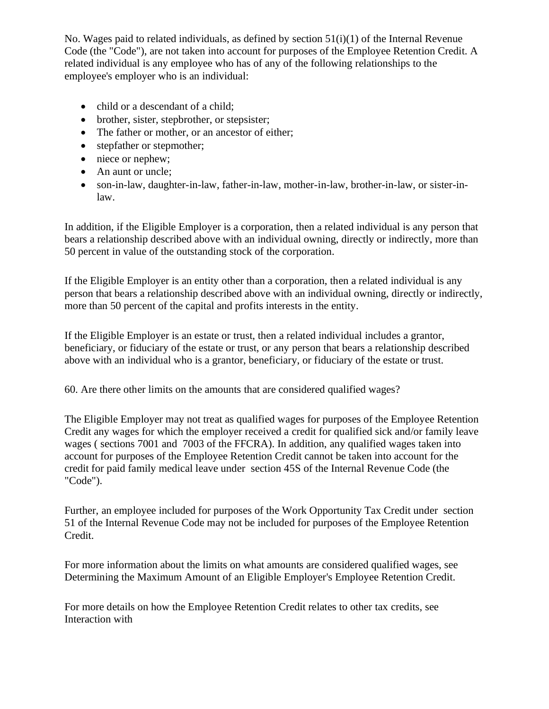No. Wages paid to related individuals, as defined by section 51(i)(1) of the Internal Revenue Code (the "Code"), are not taken into account for purposes of the Employee Retention Credit. A related individual is any employee who has of any of the following relationships to the employee's employer who is an individual:

- child or a descendant of a child;
- brother, sister, stepbrother, or stepsister;
- The father or mother, or an ancestor of either;
- stepfather or stepmother;
- niece or nephew;
- An aunt or uncle;
- son-in-law, daughter-in-law, father-in-law, mother-in-law, brother-in-law, or sister-inlaw.

In addition, if the Eligible Employer is a corporation, then a related individual is any person that bears a relationship described above with an individual owning, directly or indirectly, more than 50 percent in value of the outstanding stock of the corporation.

If the Eligible Employer is an entity other than a corporation, then a related individual is any person that bears a relationship described above with an individual owning, directly or indirectly, more than 50 percent of the capital and profits interests in the entity.

If the Eligible Employer is an estate or trust, then a related individual includes a grantor, beneficiary, or fiduciary of the estate or trust, or any person that bears a relationship described above with an individual who is a grantor, beneficiary, or fiduciary of the estate or trust.

60. Are there other limits on the amounts that are considered qualified wages?

The Eligible Employer may not treat as qualified wages for purposes of the Employee Retention Credit any wages for which the employer received a credit for qualified sick and/or family leave wages ( sections 7001 and 7003 of the FFCRA). In addition, any qualified wages taken into account for purposes of the Employee Retention Credit cannot be taken into account for the credit for paid family medical leave under section 45S of the Internal Revenue Code (the "Code").

Further, an employee included for purposes of the Work Opportunity Tax Credit under section 51 of the Internal Revenue Code may not be included for purposes of the Employee Retention Credit.

For more information about the limits on what amounts are considered qualified wages, see Determining the Maximum Amount of an Eligible Employer's Employee Retention Credit.

For more details on how the Employee Retention Credit relates to other tax credits, see Interaction with